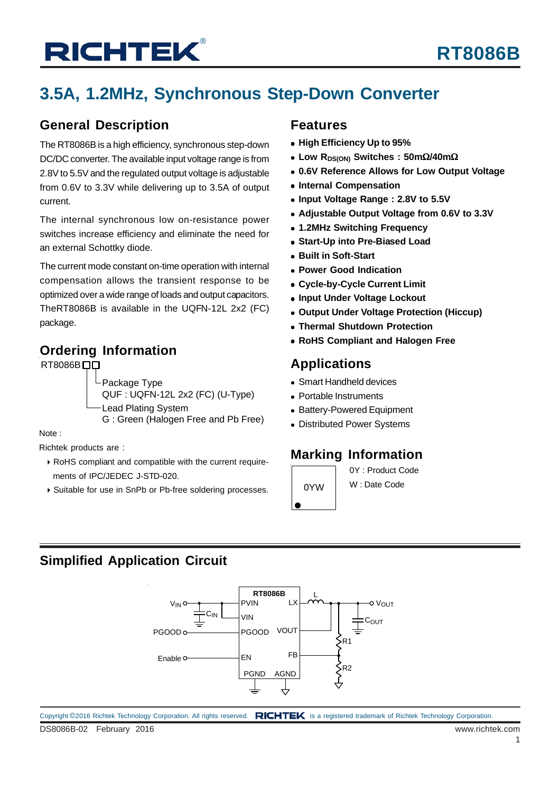# **RICHTEK®**

## **RT8086B**

## **3.5A, 1.2MHz, Synchronous Step-Down Converter**

### **General Description**

The RT8086B is a high efficiency, synchronous step-down DC/DC converter. The available input voltage range is from 2.8V to 5.5V and the regulated output voltage is adjustable from 0.6V to 3.3V while delivering up to 3.5A of output current.

The internal synchronous low on-resistance power switches increase efficiency and eliminate the need for an external Schottky diode.

The current mode constant on-time operation with internal compensation allows the transient response to be optimized over a wide range of loads and output capacitors. TheRT8086B is available in the UQFN-12L 2x2 (FC) package.

### **Ordering Information**

RT8086B<sub>D</sub>

Package Type

QUF : UQFN-12L 2x2 (FC) (U-Type)

Lead Plating System

G : Green (Halogen Free and Pb Free)

Note :

Richtek products are :

- RoHS compliant and compatible with the current require ments of IPC/JEDEC J-STD-020.
- ▶ Suitable for use in SnPb or Pb-free soldering processes.

### **Features**

- **High Efficiency Up to 95%**
- **Low RDS(ON) Switches : 50m**Ω**/40m**Ω
- **0.6V Reference Allows for Low Output Voltage**
- **Internal Compensation**
- **Input Voltage Range : 2.8V to 5.5V**
- **Adjustable Output Voltage from 0.6V to 3.3V**
- **1.2MHz Switching Frequency**
- **Start-Up into Pre-Biased Load**
- **Built in Soft-Start**
- **Power Good Indication**
- **Cycle-by-Cycle Current Limit**
- **Input Under Voltage Lockout**
- **Output Under Voltage Protection (Hiccup)**
- **Thermal Shutdown Protection**
- **RoHS Compliant and Halogen Free**

### **Applications**

- Smart Handheld devices
- Portable Instruments
- Battery-Powered Equipment
- Distributed Power Systems

### **Marking Information**

0YW

0Y : Product Code W : Date Code

### **Simplified Application Circuit**

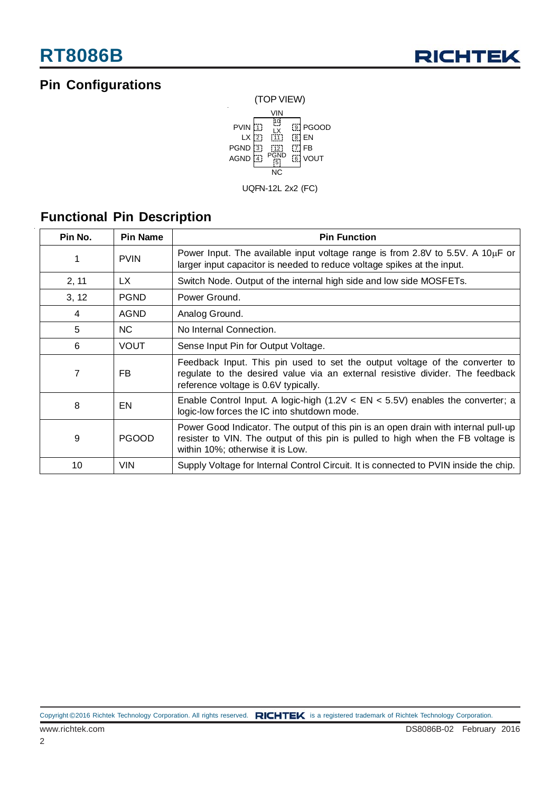## **Pin Configurations**



**Functional Pin Description**

| Pin No.<br><b>Pin Name</b> |              | <b>Pin Function</b>                                                                                                                                                                                         |  |  |
|----------------------------|--------------|-------------------------------------------------------------------------------------------------------------------------------------------------------------------------------------------------------------|--|--|
| 1                          | <b>PVIN</b>  | Power Input. The available input voltage range is from 2.8V to 5.5V. A 10 $\mu$ F or<br>larger input capacitor is needed to reduce voltage spikes at the input.                                             |  |  |
| 2, 11                      | LX.          | Switch Node. Output of the internal high side and low side MOSFETs.                                                                                                                                         |  |  |
| 3, 12                      | <b>PGND</b>  | Power Ground.                                                                                                                                                                                               |  |  |
| 4                          | <b>AGND</b>  | Analog Ground.                                                                                                                                                                                              |  |  |
| 5                          | NC.          | No Internal Connection.                                                                                                                                                                                     |  |  |
| 6                          | <b>VOUT</b>  | Sense Input Pin for Output Voltage.                                                                                                                                                                         |  |  |
| 7                          | FB.          | Feedback Input. This pin used to set the output voltage of the converter to<br>regulate to the desired value via an external resistive divider. The feedback<br>reference voltage is 0.6V typically.        |  |  |
| 8                          | EN           | Enable Control Input. A logic-high $(1.2V < EN < 5.5V)$ enables the converter; a<br>logic-low forces the IC into shutdown mode.                                                                             |  |  |
| 9                          | <b>PGOOD</b> | Power Good Indicator. The output of this pin is an open drain with internal pull-up<br>resister to VIN. The output of this pin is pulled to high when the FB voltage is<br>within 10%; otherwise it is Low. |  |  |
| 10                         | <b>VIN</b>   | Supply Voltage for Internal Control Circuit. It is connected to PVIN inside the chip.                                                                                                                       |  |  |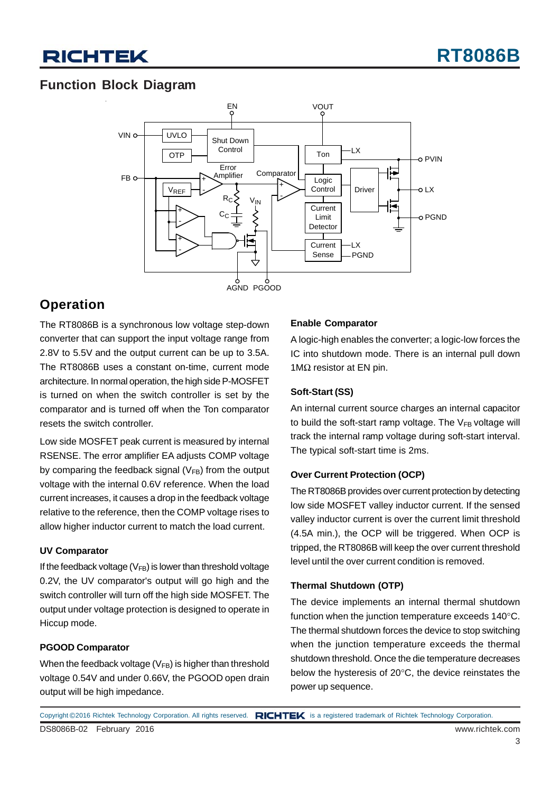## **Function Block Diagram**



### **Operation**

The RT8086B is a synchronous low voltage step-down converter that can support the input voltage range from 2.8V to 5.5V and the output current can be up to 3.5A. The RT8086B uses a constant on-time, current mode architecture. In normal operation, the high side P-MOSFET is turned on when the switch controller is set by the comparator and is turned off when the Ton comparator resets the switch controller.

Low side MOSFET peak current is measured by internal RSENSE. The error amplifier EA adjusts COMP voltage by comparing the feedback signal  $(V_{FB})$  from the output voltage with the internal 0.6V reference. When the load current increases, it causes a drop in the feedback voltage relative to the reference, then the COMP voltage rises to allow higher inductor current to match the load current.

### **UV Comparator**

If the feedback voltage  $(V_{FB})$  is lower than threshold voltage 0.2V, the UV comparator's output will go high and the switch controller will turn off the high side MOSFET. The output under voltage protection is designed to operate in Hiccup mode.

#### **PGOOD Comparator**

When the feedback voltage  $(V_{FB})$  is higher than threshold voltage 0.54V and under 0.66V, the PGOOD open drain output will be high impedance.

### **Enable Comparator**

A logic-high enables the converter; a logic-low forces the IC into shutdown mode. There is an internal pull down 1MΩ resistor at EN pin.

### **Soft-Start (SS)**

An internal current source charges an internal capacitor to build the soft-start ramp voltage. The  $V_{FB}$  voltage will track the internal ramp voltage during soft-start interval. The typical soft-start time is 2ms.

### **Over Current Protection (OCP)**

The RT8086B provides over current protection by detecting low side MOSFET valley inductor current. If the sensed valley inductor current is over the current limit threshold (4.5A min.), the OCP will be triggered. When OCP is tripped, the RT8086B will keep the over current threshold level until the over current condition is removed.

#### **Thermal Shutdown (OTP)**

The device implements an internal thermal shutdown function when the junction temperature exceeds 140°C. The thermal shutdown forces the device to stop switching when the junction temperature exceeds the thermal shutdown threshold. Once the die temperature decreases below the hysteresis of 20°C, the device reinstates the power up sequence.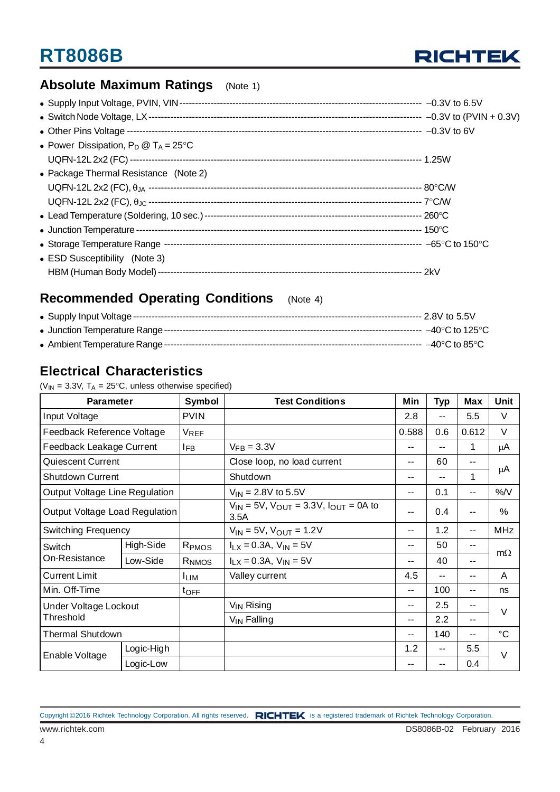

## **Absolute Maximum Ratings** (Note 1)

| • Power Dissipation, $P_D @ T_A = 25^{\circ}C$ |  |
|------------------------------------------------|--|
|                                                |  |
| • Package Thermal Resistance (Note 2)          |  |
|                                                |  |
|                                                |  |
|                                                |  |
|                                                |  |
|                                                |  |
| • ESD Susceptibility (Note 3)                  |  |
|                                                |  |

### **Recommended Operating Conditions** (Note 4)

## **Electrical Characteristics**

( $V_{IN}$  = 3.3V,  $T_A$  = 25°C, unless otherwise specified)

| <b>Parameter</b>               |            | Symbol            | <b>Test Conditions</b>                                     | Min                      | <b>Typ</b> | <b>Max</b> | Unit          |  |
|--------------------------------|------------|-------------------|------------------------------------------------------------|--------------------------|------------|------------|---------------|--|
| Input Voltage                  |            | <b>PVIN</b>       |                                                            | 2.8                      | $- -$      | 5.5        | V             |  |
| Feedback Reference Voltage     |            | VREF              |                                                            | 0.588                    | 0.6        | 0.612      | V             |  |
| Feedback Leakage Current       |            | <b>IFB</b>        | $V_{FB} = 3.3V$                                            | --                       | $-$        | 1          | μA            |  |
| Quiescent Current              |            |                   | Close loop, no load current                                | $- -$                    | 60         | $-$        |               |  |
| <b>Shutdown Current</b>        |            |                   | Shutdown                                                   | $-$                      | --         | 1          | μA            |  |
| Output Voltage Line Regulation |            |                   | $V_{IN} = 2.8V$ to 5.5V                                    | $-$                      | 0.1        | $- -$      | %N            |  |
| Output Voltage Load Regulation |            |                   | $V_{IN}$ = 5V, $V_{OUT}$ = 3.3V, $I_{OUT}$ = 0A to<br>3.5A | $-$                      | 0.4        | --         | $\frac{0}{0}$ |  |
| <b>Switching Frequency</b>     |            |                   | $V_{IN}$ = 5V, $V_{OUT}$ = 1.2V                            | $-$                      | 1.2        | --         | <b>MHz</b>    |  |
| Switch                         | High-Side  | R <sub>PMOS</sub> | $I_{LX} = 0.3A$ , $V_{IN} = 5V$                            | $-$                      | 50         | --         |               |  |
| On-Resistance                  | Low-Side   | RNMOS             | $I_{LX} = 0.3A$ , $V_{IN} = 5V$                            | --                       | 40         | --         | $m\Omega$     |  |
| <b>Current Limit</b>           |            | <b>ILIM</b>       | Valley current                                             | 4.5                      |            | --         | A             |  |
| Min. Off-Time                  |            | $t_{\text{OFF}}$  |                                                            | $-$                      | 100        | --         | ns            |  |
| Under Voltage Lockout          |            |                   | $V_{IN}$ Rising                                            | $-$                      | 2.5        | --         | $\vee$        |  |
| Threshold                      |            |                   | $V_{IN}$ Falling                                           | $-$                      | 2.2        | $- -$      |               |  |
| <b>Thermal Shutdown</b>        |            |                   |                                                            | $\overline{\phantom{a}}$ | 140        | --         | °C            |  |
| Enable Voltage                 | Logic-High |                   |                                                            | 1.2                      | $-$        | 5.5        | $\vee$        |  |
|                                | Logic-Low  |                   |                                                            |                          | ۰.         | 0.4        |               |  |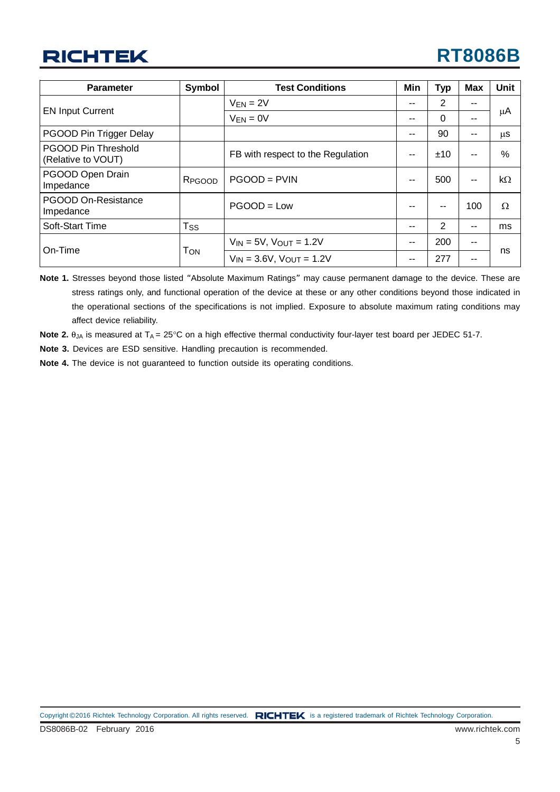## **RICHTEK**

## **RT8086B**

| <b>Parameter</b>                                 | <b>Symbol</b>      | <b>Test Conditions</b>             |                 | <b>Typ</b>     | <b>Max</b>    | <b>Unit</b> |
|--------------------------------------------------|--------------------|------------------------------------|-----------------|----------------|---------------|-------------|
|                                                  |                    | $V_{EN} = 2V$                      | --              | $\overline{2}$ | --            |             |
| <b>EN Input Current</b>                          |                    | $V_{EN} = 0V$                      | --              | 0              | --            | μA          |
| PGOOD Pin Trigger Delay                          |                    |                                    | --              | 90             | --            | μS          |
| <b>PGOOD Pin Threshold</b><br>(Relative to VOUT) |                    | FB with respect to the Regulation  | --              | ±10            | --            | $\%$        |
| PGOOD Open Drain<br>Impedance                    | R <sub>PGOOD</sub> | $PGOOD = PVIN$                     | --              | 500            | $\sim$ $\sim$ | $k\Omega$   |
| PGOOD On-Resistance<br>Impedance                 |                    | $PGOOD = Low$                      |                 | --             | 100           | Ω           |
| Soft-Start Time                                  | T <sub>ss</sub>    |                                    | --              | 2              | --            | ms          |
|                                                  | Том                | $V_{IN} = 5V$ , $V_{OUT} = 1.2V$   | 200<br>--<br>-- |                |               |             |
| On-Time                                          |                    | $V_{IN} = 3.6V$ , $V_{OUT} = 1.2V$ | --              | 277            | --            | ns          |

**Note 1.** Stresses beyond those listed "Absolute Maximum Ratings" may cause permanent damage to the device. These are stress ratings only, and functional operation of the device at these or any other conditions beyond those indicated in the operational sections of the specifications is not implied. Exposure to absolute maximum rating conditions may affect device reliability.

**Note 2.**  $\theta_{JA}$  is measured at  $T_A = 25^\circ \text{C}$  on a high effective thermal conductivity four-layer test board per JEDEC 51-7.

**Note 3.** Devices are ESD sensitive. Handling precaution is recommended.

**Note 4.** The device is not guaranteed to function outside its operating conditions.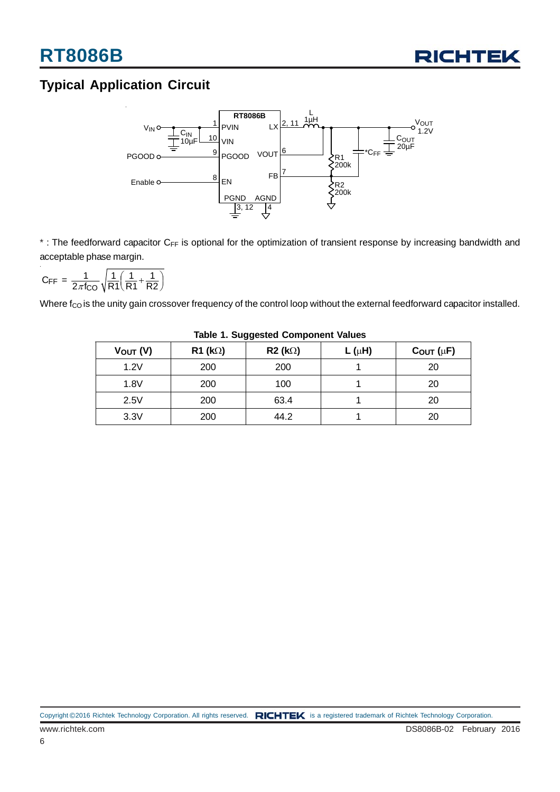

## **Typical Application Circuit**



\* : The feedforward capacitor C<sub>FF</sub> is optional for the optimization of transient response by increasing bandwidth and acceptable phase margin.

$$
C_{\text{FF}} = \frac{1}{2\pi f_{\text{CO}}} \sqrt{\frac{1}{R1} \left( \frac{1}{R1} + \frac{1}{R2} \right)}
$$

Where  $f_{CO}$  is the unity gain crossover frequency of the control loop without the external feedforward capacitor installed.

| $V_{OUT} (V)$ | $R1$ (k $\Omega$ ) | R2 (k) | L ( $\mu$ H) | $C_{OUT}(\mu F)$ |  |  |
|---------------|--------------------|--------|--------------|------------------|--|--|
| 1.2V          | 200                | 200    |              | 20               |  |  |
| 1.8V          | 200                | 100    |              | 20               |  |  |
| 2.5V          | 200                | 63.4   |              | 20               |  |  |
| 3.3V          | 200                | 44.2   |              | 20               |  |  |

**Table 1. Suggested Component Values**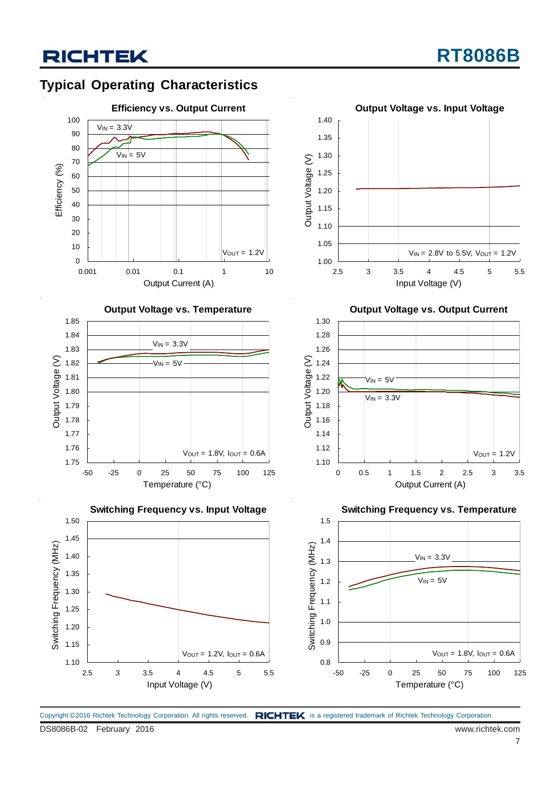## **Typical Operating Characteristics**



**Output Voltage vs. Temperature**











**Switching Frequency vs. Temperature**



Copyright ©2016 Richtek Technology Corporation. All rights reserved. RICHTEK is a registered trademark of Richtek Technology Corporation.

DS8086B-02 February 2016 www.richtek.com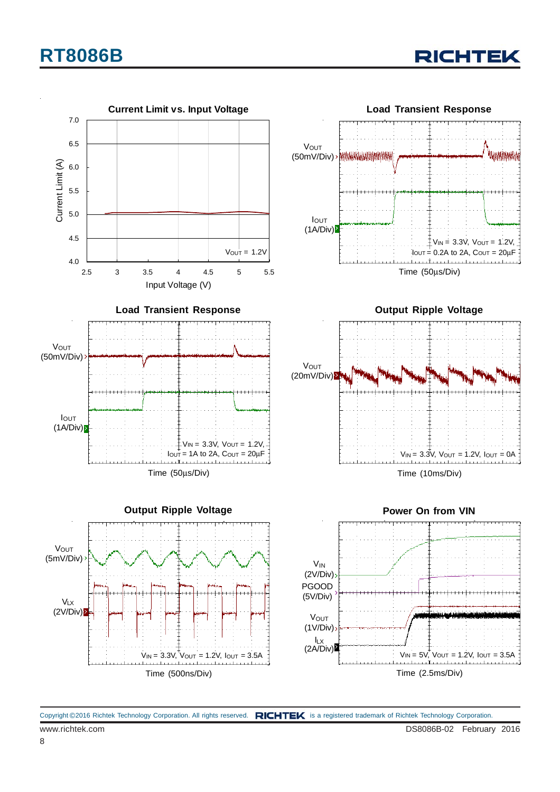## **RT8086B**

RICHTEK

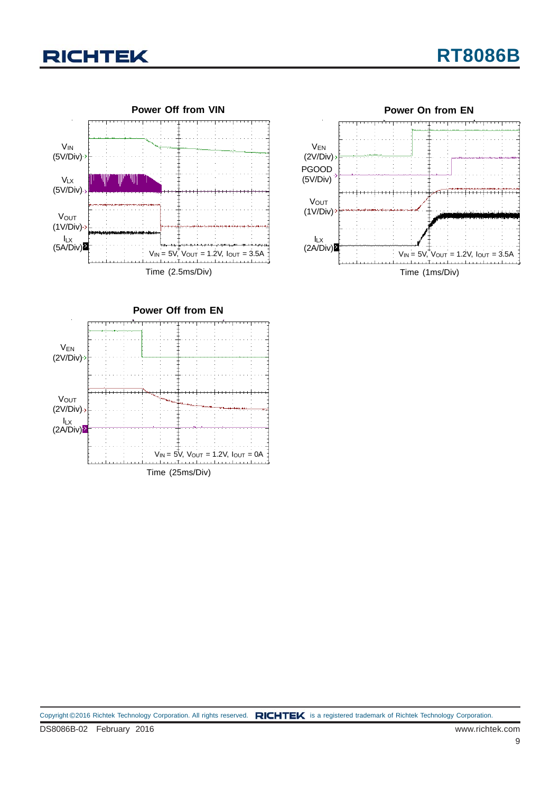## **RICHTEK**





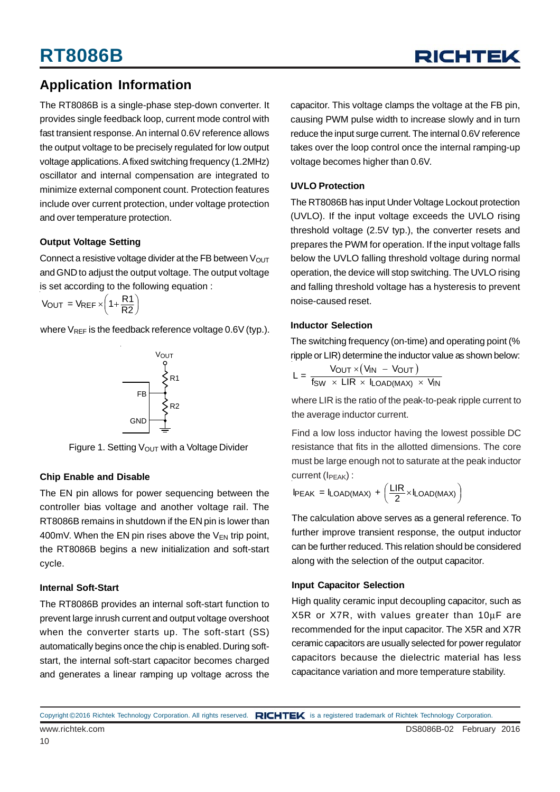## **Application Information**

The RT8086B is a single-phase step-down converter. It provides single feedback loop, current mode control with fast transient response. An internal 0.6V reference allows the output voltage to be precisely regulated for low output voltage applications. A fixed switching frequency (1.2MHz) oscillator and internal compensation are integrated to minimize external component count. Protection features include over current protection, under voltage protection and over temperature protection.

### **Output Voltage Setting**

Connect a resistive voltage divider at the FB between  $V_{OUT}$ and GND to adjust the output voltage. The output voltage is set according to the following equation :

$$
V_{OUT} = V_{REF} \times \left(1 + \frac{R1}{R2}\right)
$$

where  $V_{REF}$  is the feedback reference voltage 0.6V (typ.).



Figure 1. Setting  $V_{\text{OUT}}$  with a Voltage Divider

### **Chip Enable and Disable**

The EN pin allows for power sequencing between the controller bias voltage and another voltage rail. The RT8086B remains in shutdown if the EN pin is lower than 400mV. When the EN pin rises above the  $V_{FN}$  trip point, the RT8086B begins a new initialization and soft-start cycle.

#### **Internal Soft-Start**

The RT8086B provides an internal soft-start function to prevent large inrush current and output voltage overshoot when the converter starts up. The soft-start (SS) automatically begins once the chip is enabled. During softstart, the internal soft-start capacitor becomes charged and generates a linear ramping up voltage across the

capacitor. This voltage clamps the voltage at the FB pin, causing PWM pulse width to increase slowly and in turn reduce the input surge current. The internal 0.6V reference takes over the loop control once the internal ramping-up voltage becomes higher than 0.6V.

### **UVLO Protection**

The RT8086B has input Under Voltage Lockout protection (UVLO). If the input voltage exceeds the UVLO rising threshold voltage (2.5V typ.), the converter resets and prepares the PWM for operation. If the input voltage falls below the UVLO falling threshold voltage during normal operation, the device will stop switching. The UVLO rising and falling threshold voltage has a hysteresis to prevent noise-caused reset.

#### **Inductor Selection**

The switching frequency (on-time) and operating point (% ripple or LIR) determine the inductor value as shown below:

$$
L = \frac{V_{OUT} \times (V_{IN} - V_{OUT})}{f_{SW} \times LIR \times I_{LOAD(MAX)} \times V_{IN}}
$$

where LIR is the ratio of the peak-to-peak ripple current to the average inductor current.

Find a low loss inductor having the lowest possible DC resistance that fits in the allotted dimensions. The core must be large enough not to saturate at the peak inductor current  $(I_{\text{PEAK}})$  :

$$
I_{PEAK} = I_{LOAD(MAX)} + \left(\frac{LIR}{2} \times I_{LOAD(MAX)}\right)
$$

The calculation above serves as a general reference. To further improve transient response, the output inductor can be further reduced. This relation should be considered along with the selection of the output capacitor.

### **Input Capacitor Selection**

High quality ceramic input decoupling capacitor, such as X5R or X7R, with values greater than 10μF are recommended for the input capacitor. The X5R and X7R ceramic capacitors are usually selected for power regulator capacitors because the dielectric material has less capacitance variation and more temperature stability.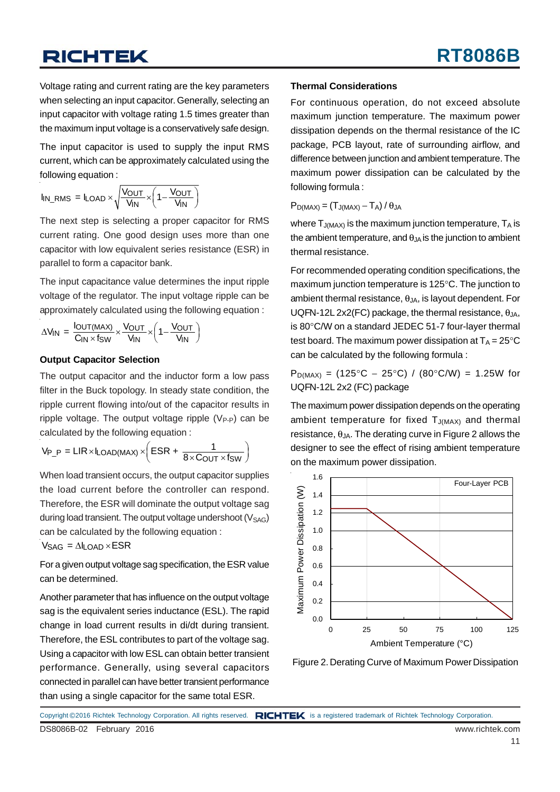## **RICHTEK**

Voltage rating and current rating are the key parameters when selecting an input capacitor. Generally, selecting an input capacitor with voltage rating 1.5 times greater than the maximum input voltage is a conservatively safe design.

The input capacitor is used to supply the input RMS current, which can be approximately calculated using the following equation :

$$
I_{IN\_RMS} = I_{LOAD} \times \sqrt{\frac{V_{OUT}}{V_{IN}} \times \left(1 - \frac{V_{OUT}}{V_{IN}}\right)}
$$

The next step is selecting a proper capacitor for RMS current rating. One good design uses more than one capacitor with low equivalent series resistance (ESR) in parallel to form a capacitor bank.

The input capacitance value determines the input ripple voltage of the regulator. The input voltage ripple can be approximately calculated using the following equation :

$$
\Delta V_{IN} = \frac{I_{OUT(MAX)}}{C_{IN} \times f_{SW}} \times \frac{V_{OUT}}{V_{IN}} \times \left(1 - \frac{V_{OUT}}{V_{IN}}\right)
$$

#### **Output Capacitor Selection**

The output capacitor and the inductor form a low pass filter in the Buck topology. In steady state condition, the ripple current flowing into/out of the capacitor results in ripple voltage. The output voltage ripple  $(V_{P-P})$  can be calculated by the following equation :

$$
V_{P\_P} = LIR \times I_{LOAD(MAX)} \times \left( ESR + \frac{1}{8 \times C_{OUT} \times f_{SW}} \right)
$$

When load transient occurs, the output capacitor supplies the load current before the controller can respond. Therefore, the ESR will dominate the output voltage sag during load transient. The output voltage undershoot  $(V<sub>SAG</sub>)$ can be calculated by the following equation :

 $V_{SAG} = \Delta I_{LOAD} \times ESR$ 

For a given output voltage sag specification, the ESR value can be determined.

Another parameter that has influence on the output voltage sag is the equivalent series inductance (ESL). The rapid change in load current results in di/dt during transient. Therefore, the ESL contributes to part of the voltage sag. Using a capacitor with low ESL can obtain better transient performance. Generally, using several capacitors connected in parallel can have better transient performance than using a single capacitor for the same total ESR.

#### **Thermal Considerations**

For continuous operation, do not exceed absolute maximum junction temperature. The maximum power dissipation depends on the thermal resistance of the IC package, PCB layout, rate of surrounding airflow, and difference between junction and ambient temperature. The maximum power dissipation can be calculated by the following formula :

 $P_{D(MAX)} = (T_{J(MAX)} - T_A)/\theta_{JA}$ 

where  $T_{J(MAX)}$  is the maximum junction temperature,  $T_A$  is the ambient temperature, and  $\theta_{JA}$  is the junction to ambient thermal resistance.

For recommended operating condition specifications, the maximum junction temperature is 125°C. The junction to ambient thermal resistance,  $\theta_{\text{JA}}$ , is layout dependent. For UQFN-12L 2x2(FC) package, the thermal resistance,  $\theta_{JA}$ , is 80°C/W on a standard JEDEC 51-7 four-layer thermal test board. The maximum power dissipation at  $T_A = 25^{\circ}C$ can be calculated by the following formula :

 $P_{D(MAX)} = (125^{\circ}C - 25^{\circ}C) / (80^{\circ}C/W) = 1.25W$  for UQFN-12L 2x2 (FC) package

The maximum power dissipation depends on the operating ambient temperature for fixed  $T_{J(MAX)}$  and thermal resistance,  $\theta_{JA}$ . The derating curve in Figure 2 allows the designer to see the effect of rising ambient temperature on the maximum power dissipation.



Figure 2. Derating Curve of Maximum Power Dissipation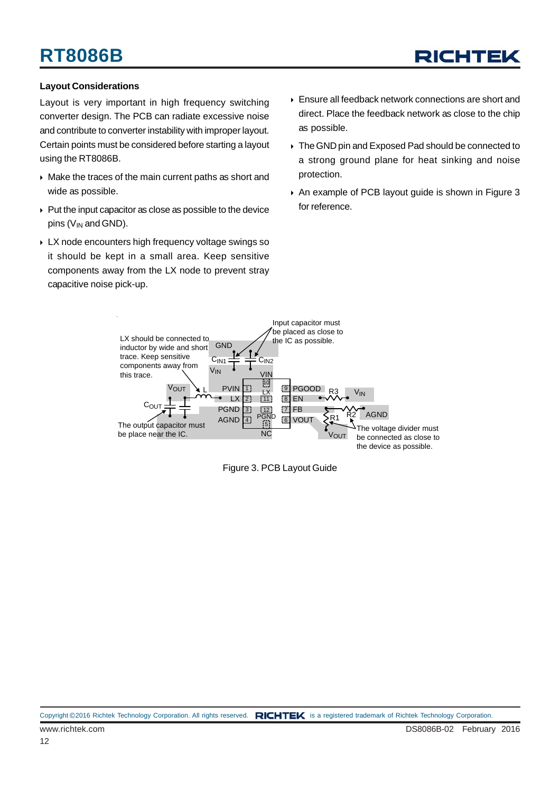## **RT8086B**



#### **Layout Considerations**

Layout is very important in high frequency switching converter design. The PCB can radiate excessive noise and contribute to converter instability with improper layout. Certain points must be considered before starting a layout using the RT8086B.

- $\triangleright$  Make the traces of the main current paths as short and wide as possible.
- $\triangleright$  Put the input capacitor as close as possible to the device pins  $(V_{IN})$  and GND).
- LX node encounters high frequency voltage swings so it should be kept in a small area. Keep sensitive components away from the LX node to prevent stray capacitive noise pick-up.
- Ensure all feedback network connections are short and direct. Place the feedback network as close to the chip as possible.
- ▶ The GND pin and Exposed Pad should be connected to a strong ground plane for heat sinking and noise protection.
- An example of PCB layout guide is shown in Figure 3 for reference.